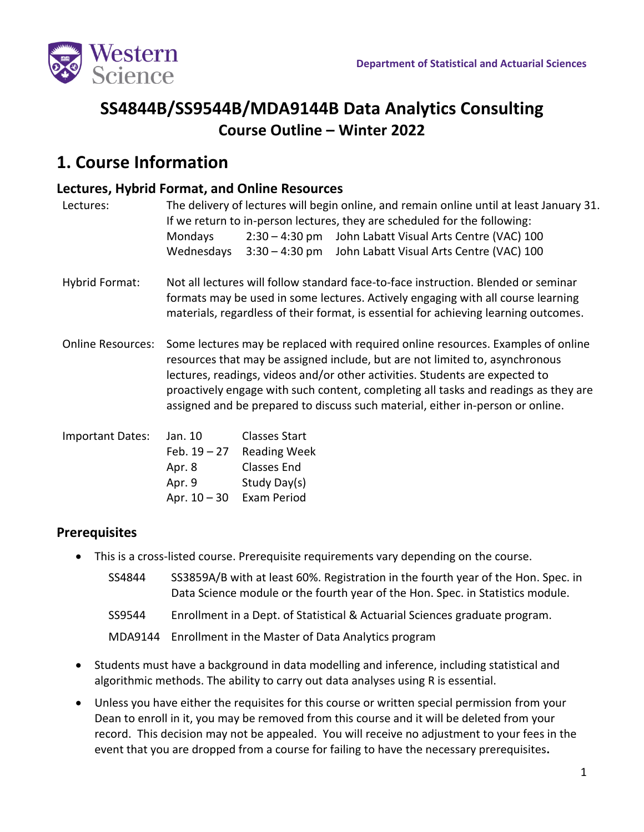

## **SS4844B/SS9544B/MDA9144B Data Analytics Consulting Course Outline – Winter 2022**

## **1. Course Information**

#### **Lectures, Hybrid Format, and Online Resources**

| Lectures:                | Mondays<br>Wednesdays                                                                                                                                                                                                                                                                                                                                                                                                     |                                                                                           | The delivery of lectures will begin online, and remain online until at least January 31.<br>If we return to in-person lectures, they are scheduled for the following:<br>2:30 - 4:30 pm John Labatt Visual Arts Centre (VAC) 100<br>3:30 - 4:30 pm John Labatt Visual Arts Centre (VAC) 100 |  |  |
|--------------------------|---------------------------------------------------------------------------------------------------------------------------------------------------------------------------------------------------------------------------------------------------------------------------------------------------------------------------------------------------------------------------------------------------------------------------|-------------------------------------------------------------------------------------------|---------------------------------------------------------------------------------------------------------------------------------------------------------------------------------------------------------------------------------------------------------------------------------------------|--|--|
| Hybrid Format:           | Not all lectures will follow standard face-to-face instruction. Blended or seminar<br>formats may be used in some lectures. Actively engaging with all course learning<br>materials, regardless of their format, is essential for achieving learning outcomes.                                                                                                                                                            |                                                                                           |                                                                                                                                                                                                                                                                                             |  |  |
| <b>Online Resources:</b> | Some lectures may be replaced with required online resources. Examples of online<br>resources that may be assigned include, but are not limited to, asynchronous<br>lectures, readings, videos and/or other activities. Students are expected to<br>proactively engage with such content, completing all tasks and readings as they are<br>assigned and be prepared to discuss such material, either in-person or online. |                                                                                           |                                                                                                                                                                                                                                                                                             |  |  |
| <b>Important Dates:</b>  | Jan. 10<br>Feb. $19 - 27$<br>Apr. 8<br>Apr. 9<br>Apr. 10 – 30                                                                                                                                                                                                                                                                                                                                                             | <b>Classes Start</b><br><b>Reading Week</b><br>Classes End<br>Study Day(s)<br>Exam Period |                                                                                                                                                                                                                                                                                             |  |  |

### **Prerequisites**

- This is a cross-listed course. Prerequisite requirements vary depending on the course.
	- SS4844 SS3859A/B with at least 60%. Registration in the fourth year of the Hon. Spec. in Data Science module or the fourth year of the Hon. Spec. in Statistics module.
	- SS9544 Enrollment in a Dept. of Statistical & Actuarial Sciences graduate program.
	- MDA9144 Enrollment in the Master of Data Analytics program
- Students must have a background in data modelling and inference, including statistical and algorithmic methods. The ability to carry out data analyses using R is essential.
- Unless you have either the requisites for this course or written special permission from your Dean to enroll in it, you may be removed from this course and it will be deleted from your record. This decision may not be appealed. You will receive no adjustment to your fees in the event that you are dropped from a course for failing to have the necessary prerequisites**.**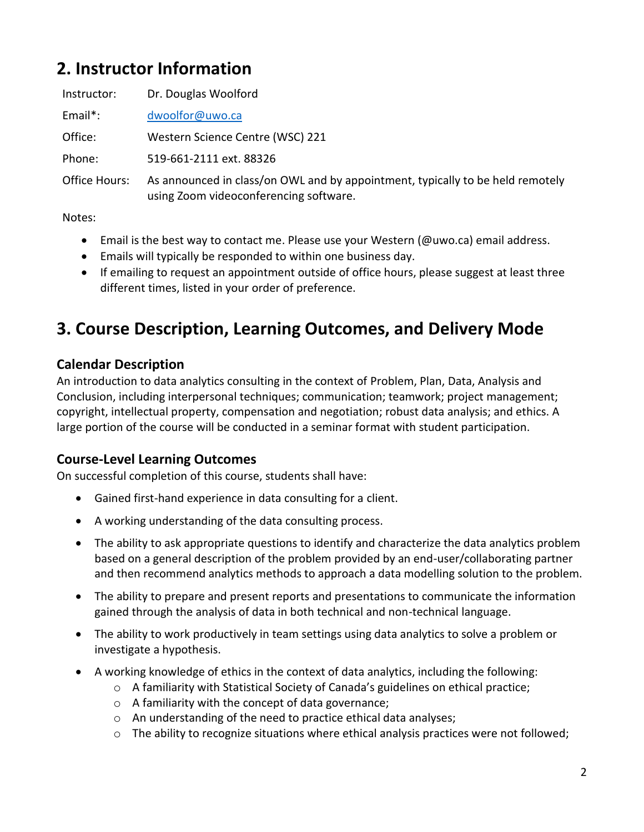# **2. Instructor Information**

| Instructor: | Dr. Douglas Woolford             |
|-------------|----------------------------------|
| Email*:     | dwoolfor@uwo.ca                  |
| Office:     | Western Science Centre (WSC) 221 |

Phone: 519-661-2111 ext. 88326

Office Hours: As announced in class/on OWL and by appointment, typically to be held remotely using Zoom videoconferencing software.

Notes:

- Email is the best way to contact me. Please use your Western (@uwo.ca) email address.
- Emails will typically be responded to within one business day.
- If emailing to request an appointment outside of office hours, please suggest at least three different times, listed in your order of preference.

# **3. Course Description, Learning Outcomes, and Delivery Mode**

### **Calendar Description**

An introduction to data analytics consulting in the context of Problem, Plan, Data, Analysis and Conclusion, including interpersonal techniques; communication; teamwork; project management; copyright, intellectual property, compensation and negotiation; robust data analysis; and ethics. A large portion of the course will be conducted in a seminar format with student participation.

### **Course-Level Learning Outcomes**

On successful completion of this course, students shall have:

- Gained first-hand experience in data consulting for a client.
- A working understanding of the data consulting process.
- The ability to ask appropriate questions to identify and characterize the data analytics problem based on a general description of the problem provided by an end-user/collaborating partner and then recommend analytics methods to approach a data modelling solution to the problem.
- The ability to prepare and present reports and presentations to communicate the information gained through the analysis of data in both technical and non-technical language.
- The ability to work productively in team settings using data analytics to solve a problem or investigate a hypothesis.
- A working knowledge of ethics in the context of data analytics, including the following:
	- o A familiarity with Statistical Society of Canada's guidelines on ethical practice;
	- o A familiarity with the concept of data governance;
	- o An understanding of the need to practice ethical data analyses;
	- o The ability to recognize situations where ethical analysis practices were not followed;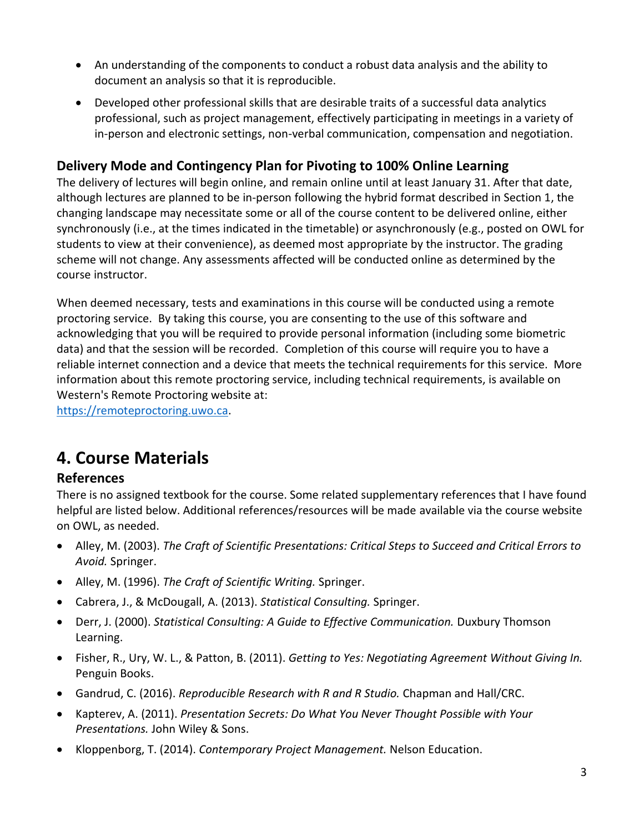- An understanding of the components to conduct a robust data analysis and the ability to document an analysis so that it is reproducible.
- Developed other professional skills that are desirable traits of a successful data analytics professional, such as project management, effectively participating in meetings in a variety of in-person and electronic settings, non-verbal communication, compensation and negotiation.

### **Delivery Mode and Contingency Plan for Pivoting to 100% Online Learning**

The delivery of lectures will begin online, and remain online until at least January 31. After that date, although lectures are planned to be in-person following the hybrid format described in Section 1, the changing landscape may necessitate some or all of the course content to be delivered online, either synchronously (i.e., at the times indicated in the timetable) or asynchronously (e.g., posted on OWL for students to view at their convenience), as deemed most appropriate by the instructor. The grading scheme will not change. Any assessments affected will be conducted online as determined by the course instructor.

When deemed necessary, tests and examinations in this course will be conducted using a remote proctoring service. By taking this course, you are consenting to the use of this software and acknowledging that you will be required to provide personal information (including some biometric data) and that the session will be recorded. Completion of this course will require you to have a reliable internet connection and a device that meets the technical requirements for this service. More information about this remote proctoring service, including technical requirements, is available on Western's Remote Proctoring website at:

[https://remoteproctoring.uwo.ca.](https://remoteproctoring.uwo.ca/)

## **4. Course Materials**

### **References**

There is no assigned textbook for the course. Some related supplementary references that I have found helpful are listed below. Additional references/resources will be made available via the course website on OWL, as needed.

- Alley, M. (2003). *The Craft of Scientific Presentations: Critical Steps to Succeed and Critical Errors to Avoid.* Springer.
- Alley, M. (1996). *The Craft of Scientific Writing.* Springer.
- Cabrera, J., & McDougall, A. (2013). *Statistical Consulting.* Springer.
- Derr, J. (2000). *Statistical Consulting: A Guide to Effective Communication.* Duxbury Thomson Learning.
- Fisher, R., Ury, W. L., & Patton, B. (2011). *Getting to Yes: Negotiating Agreement Without Giving In.* Penguin Books.
- Gandrud, C. (2016). *Reproducible Research with R and R Studio.* Chapman and Hall/CRC.
- Kapterev, A. (2011). *Presentation Secrets: Do What You Never Thought Possible with Your Presentations.* John Wiley & Sons.
- Kloppenborg, T. (2014). *Contemporary Project Management.* Nelson Education.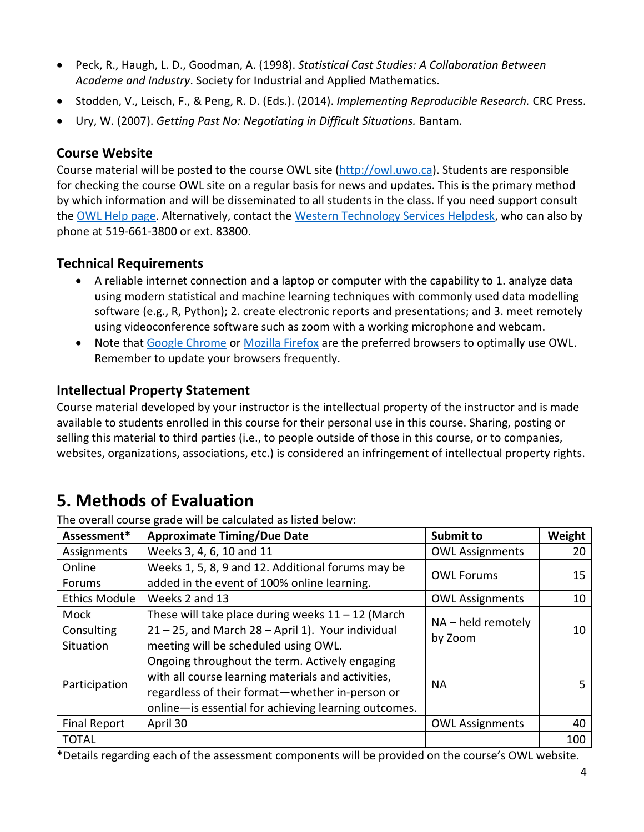- Peck, R., Haugh, L. D., Goodman, A. (1998). *Statistical Cast Studies: A Collaboration Between Academe and Industry*. Society for Industrial and Applied Mathematics.
- Stodden, V., Leisch, F., & Peng, R. D. (Eds.). (2014). *Implementing Reproducible Research.* CRC Press.
- Ury, W. (2007). *Getting Past No: Negotiating in Difficult Situations.* Bantam.

### **Course Website**

Course material will be posted to the course OWL site [\(http://owl.uwo.ca\)](http://owl.uwo.ca/). Students are responsible for checking the course OWL site on a regular basis for news and updates. This is the primary method by which information and will be disseminated to all students in the class. If you need support consult the [OWL Help page.](https://owlhelp.uwo.ca/students/index.html) Alternatively, contact the [Western Technology Services Helpdesk,](https://wts.uwo.ca/helpdesk/) who can also by phone at 519-661-3800 or ext. 83800.

### **Technical Requirements**

- A reliable internet connection and a laptop or computer with the capability to 1. analyze data using modern statistical and machine learning techniques with commonly used data modelling software (e.g., R, Python); 2. create electronic reports and presentations; and 3. meet remotely using videoconference software such as zoom with a working microphone and webcam.
- Note that [Google Chrome](https://www.google.ca/chrome/?brand=CHBD&gclid=CjwKCAjwxLH3BRApEiwAqX9arfg8JaH6fWGASk9bHTkfW_dyBir93A1-TliP-7u1Kguf-WZsoGAPhBoC9NYQAvD_BwE&gclsrc=aw.ds) or [Mozilla Firefox](https://www.mozilla.org/en-CA/) are the preferred browsers to optimally use OWL. Remember to update your browsers frequently.

### **Intellectual Property Statement**

Course material developed by your instructor is the intellectual property of the instructor and is made available to students enrolled in this course for their personal use in this course. Sharing, posting or selling this material to third parties (i.e., to people outside of those in this course, or to companies, websites, organizations, associations, etc.) is considered an infringement of intellectual property rights.

# **5. Methods of Evaluation**

The overall course grade will be calculated as listed below:

| Assessment*                     | <b>Approximate Timing/Due Date</b>                                                                                                                                                                              | <b>Submit to</b>                | Weight |
|---------------------------------|-----------------------------------------------------------------------------------------------------------------------------------------------------------------------------------------------------------------|---------------------------------|--------|
| Assignments                     | Weeks 3, 4, 6, 10 and 11                                                                                                                                                                                        | <b>OWL Assignments</b>          | 20     |
| Online<br>Forums                | Weeks 1, 5, 8, 9 and 12. Additional forums may be<br>added in the event of 100% online learning.                                                                                                                | <b>OWL Forums</b>               | 15     |
| <b>Ethics Module</b>            | Weeks 2 and 13                                                                                                                                                                                                  | <b>OWL Assignments</b>          | 10     |
| Mock<br>Consulting<br>Situation | These will take place during weeks $11 - 12$ (March<br>21 - 25, and March 28 - April 1). Your individual<br>meeting will be scheduled using OWL.                                                                | $NA$ – held remotely<br>by Zoom | 10     |
| Participation                   | Ongoing throughout the term. Actively engaging<br>with all course learning materials and activities,<br>regardless of their format-whether in-person or<br>online-is essential for achieving learning outcomes. | <b>NA</b>                       |        |
| <b>Final Report</b>             | April 30                                                                                                                                                                                                        | <b>OWL Assignments</b>          | 40     |
| <b>TOTAL</b>                    |                                                                                                                                                                                                                 |                                 | 100    |

\*Details regarding each of the assessment components will be provided on the course's OWL website.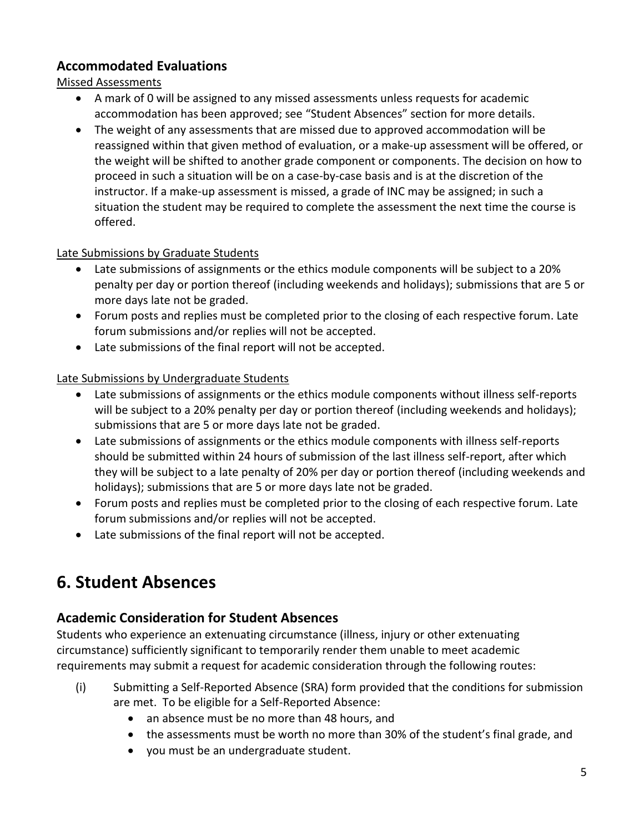### **Accommodated Evaluations**

Missed Assessments

- A mark of 0 will be assigned to any missed assessments unless requests for academic accommodation has been approved; see "Student Absences" section for more details.
- The weight of any assessments that are missed due to approved accommodation will be reassigned within that given method of evaluation, or a make-up assessment will be offered, or the weight will be shifted to another grade component or components. The decision on how to proceed in such a situation will be on a case-by-case basis and is at the discretion of the instructor. If a make-up assessment is missed, a grade of INC may be assigned; in such a situation the student may be required to complete the assessment the next time the course is offered.

#### Late Submissions by Graduate Students

- Late submissions of assignments or the ethics module components will be subject to a 20% penalty per day or portion thereof (including weekends and holidays); submissions that are 5 or more days late not be graded.
- Forum posts and replies must be completed prior to the closing of each respective forum. Late forum submissions and/or replies will not be accepted.
- Late submissions of the final report will not be accepted.

#### Late Submissions by Undergraduate Students

- Late submissions of assignments or the ethics module components without illness self-reports will be subject to a 20% penalty per day or portion thereof (including weekends and holidays); submissions that are 5 or more days late not be graded.
- Late submissions of assignments or the ethics module components with illness self-reports should be submitted within 24 hours of submission of the last illness self-report, after which they will be subject to a late penalty of 20% per day or portion thereof (including weekends and holidays); submissions that are 5 or more days late not be graded.
- Forum posts and replies must be completed prior to the closing of each respective forum. Late forum submissions and/or replies will not be accepted.
- Late submissions of the final report will not be accepted.

## **6. Student Absences**

### **Academic Consideration for Student Absences**

Students who experience an extenuating circumstance (illness, injury or other extenuating circumstance) sufficiently significant to temporarily render them unable to meet academic requirements may submit a request for academic consideration through the following routes:

- (i) Submitting a Self-Reported Absence (SRA) form provided that the conditions for submission are met. To be eligible for a Self-Reported Absence:
	- an absence must be no more than 48 hours, and
	- the assessments must be worth no more than 30% of the student's final grade, and
	- you must be an undergraduate student.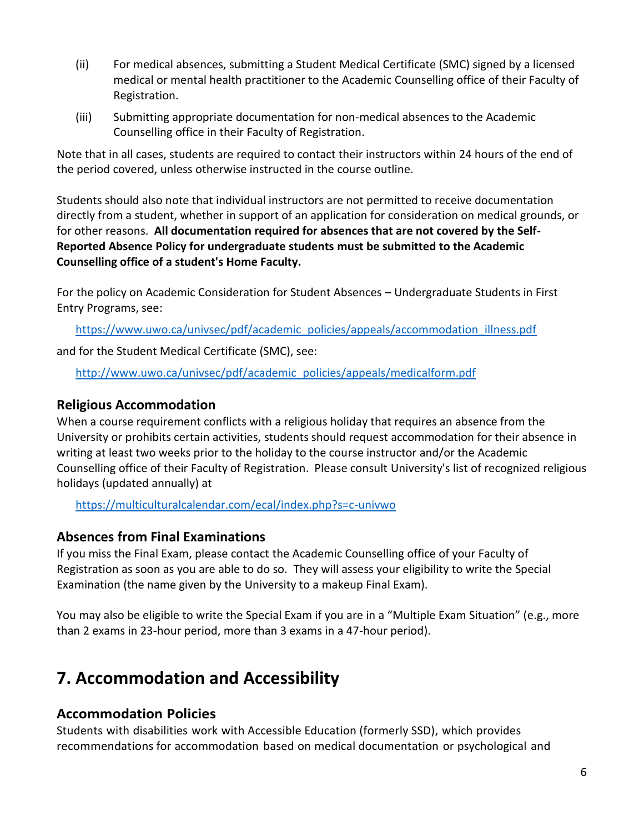- (ii) For medical absences, submitting a Student Medical Certificate (SMC) signed by a licensed medical or mental health practitioner to the Academic Counselling office of their Faculty of Registration.
- (iii) Submitting appropriate documentation for non-medical absences to the Academic Counselling office in their Faculty of Registration.

Note that in all cases, students are required to contact their instructors within 24 hours of the end of the period covered, unless otherwise instructed in the course outline.

Students should also note that individual instructors are not permitted to receive documentation directly from a student, whether in support of an application for consideration on medical grounds, or for other reasons. **All documentation required for absences that are not covered by the Self-Reported Absence Policy for undergraduate students must be submitted to the Academic Counselling office of a student's Home Faculty.**

For the policy on Academic Consideration for Student Absences – Undergraduate Students in First Entry Programs, see:

[https://www.uwo.ca/univsec/pdf/academic\\_policies/appeals/accommodation\\_illness.pdf](https://www.uwo.ca/univsec/pdf/academic_policies/appeals/accommodation_illness.pdf)

and for the Student Medical Certificate (SMC), see:

[http://www.uwo.ca/univsec/pdf/academic\\_policies/appeals/medicalform.pdf](http://www.uwo.ca/univsec/pdf/academic_policies/appeals/medicalform.pdf)

#### **Religious Accommodation**

When a course requirement conflicts with a religious holiday that requires an absence from the University or prohibits certain activities, students should request accommodation for their absence in writing at least two weeks prior to the holiday to the course instructor and/or the Academic Counselling office of their Faculty of Registration. Please consult University's list of recognized religious holidays (updated annually) at

<https://multiculturalcalendar.com/ecal/index.php?s=c-univwo>

### **Absences from Final Examinations**

If you miss the Final Exam, please contact the Academic Counselling office of your Faculty of Registration as soon as you are able to do so. They will assess your eligibility to write the Special Examination (the name given by the University to a makeup Final Exam).

You may also be eligible to write the Special Exam if you are in a "Multiple Exam Situation" (e.g., more than 2 exams in 23-hour period, more than 3 exams in a 47-hour period).

# **7. Accommodation and Accessibility**

#### **Accommodation Policies**

Students with disabilities work with Accessible Education (formerly SSD), which provides recommendations for accommodation based on medical documentation or psychological and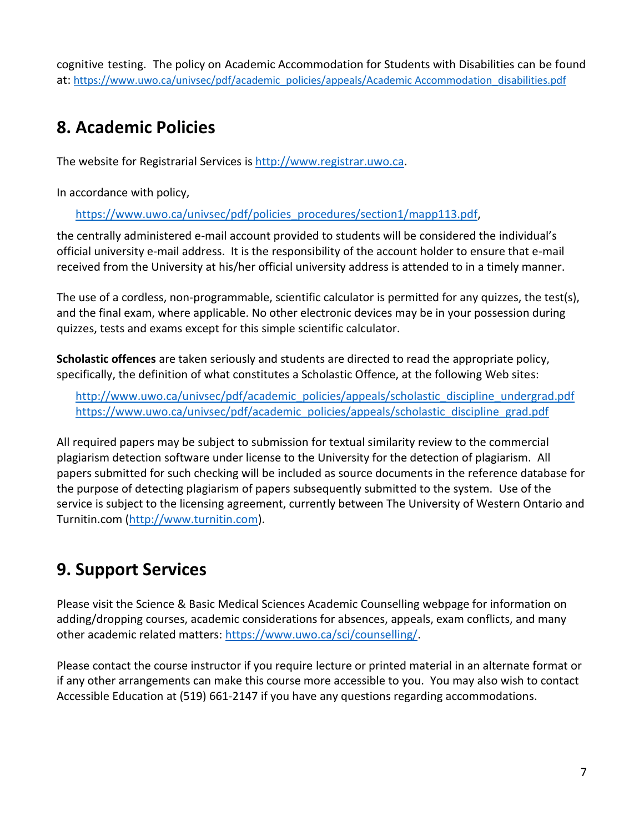cognitive testing. The policy on Academic Accommodation for Students with Disabilities can be found at: [https://www.uwo.ca/univsec/pdf/academic\\_policies/appeals/Academic Accommodation\\_disabilities.pdf](https://www.uwo.ca/univsec/pdf/academic_policies/appeals/Academic%20Accommodation_disabilities.pdf)

# **8. Academic Policies**

The website for Registrarial Services i[s http://www.registrar.uwo.ca.](http://www.registrar.uwo.ca/)

In accordance with policy,

[https://www.uwo.ca/univsec/pdf/policies\\_procedures/section1/mapp113.pdf,](https://www.uwo.ca/univsec/pdf/policies_procedures/section1/mapp113.pdf)

the centrally administered e-mail account provided to students will be considered the individual's official university e-mail address. It is the responsibility of the account holder to ensure that e-mail received from the University at his/her official university address is attended to in a timely manner.

The use of a cordless, non-programmable, scientific calculator is permitted for any quizzes, the test(s), and the final exam, where applicable. No other electronic devices may be in your possession during quizzes, tests and exams except for this simple scientific calculator.

**Scholastic offences** are taken seriously and students are directed to read the appropriate policy, specifically, the definition of what constitutes a Scholastic Offence, at the following Web sites:

[http://www.uwo.ca/univsec/pdf/academic\\_policies/appeals/scholastic\\_discipline\\_undergrad.pdf](http://www.uwo.ca/univsec/pdf/academic_policies/appeals/scholastic_discipline_undergrad.pdf) [https://www.uwo.ca/univsec/pdf/academic\\_policies/appeals/scholastic\\_discipline\\_grad.pdf](https://www.uwo.ca/univsec/pdf/academic_policies/appeals/scholastic_discipline_grad.pdf)

All required papers may be subject to submission for textual similarity review to the commercial plagiarism detection software under license to the University for the detection of plagiarism. All papers submitted for such checking will be included as source documents in the reference database for the purpose of detecting plagiarism of papers subsequently submitted to the system. Use of the service is subject to the licensing agreement, currently between The University of Western Ontario and Turnitin.com [\(http://www.turnitin.com\)](http://www.turnitin.com/).

# **9. Support Services**

Please visit the Science & Basic Medical Sciences Academic Counselling webpage for information on adding/dropping courses, academic considerations for absences, appeals, exam conflicts, and many other academic related matters: [https://www.uwo.ca/sci/counselling/.](https://www.uwo.ca/sci/counselling/)

Please contact the course instructor if you require lecture or printed material in an alternate format or if any other arrangements can make this course more accessible to you. You may also wish to contact Accessible Education at (519) 661-2147 if you have any questions regarding accommodations.